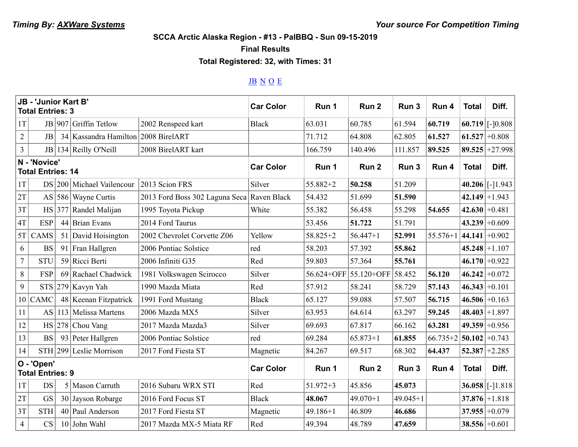**SCCA Arctic Alaska Region - #13 - PalBBQ - Sun 09-15-2019**

**Final Results**

**Total Registered: 32, with Times: 31**

## JB N O E

| JB - 'Junior Kart B'<br><b>Total Entries: 3</b> |             |     |                                     | <b>Car Color</b>                           | Run 1        | Run <sub>2</sub> | Run 3                 | Run 4        | <b>Total</b> | Diff.              |                        |
|-------------------------------------------------|-------------|-----|-------------------------------------|--------------------------------------------|--------------|------------------|-----------------------|--------------|--------------|--------------------|------------------------|
| 1T                                              |             |     | JB $ 907 $ Griffin Tetlow           | 2002 Renspeed kart                         | <b>Black</b> | 63.031           | 60.785                | 61.594       | 60.719       |                    | $60.719$ [-10.808]     |
| $\overline{2}$                                  | JB          |     | 34 Kassandra Hamilton 2008 BirelART |                                            |              | 71.712           | 64.808                | 62.805       | 61.527       |                    | $61.527 \pm 0.808$     |
| $\overline{3}$                                  | JB          |     | 134 Reilly O'Neill                  | 2008 BirelART kart                         |              | 166.759          | 140.496               | 111.857      | 89.525       |                    | $89.525 + 27.998$      |
| N - 'Novice'<br><b>Total Entries: 14</b>        |             |     |                                     | <b>Car Color</b>                           | Run 1        | Run <sub>2</sub> | Run 3                 | Run 4        | <b>Total</b> | Diff.              |                        |
| 1T                                              |             |     | DS 200 Michael Vailencour           | 2013 Scion FRS                             | Silver       | $55.882 + 2$     | 50.258                | 51.209       |              |                    | $40.206$ [-1.943]      |
| 2T                                              |             |     | AS $ 586 $ Wayne Curtis             | 2013 Ford Boss 302 Laguna Seca Raven Black |              | 54.432           | 51.699                | 51.590       |              |                    | $42.149 \mid +1.943$   |
| 3T                                              | HS          | 377 | Randel Malijan                      | 1995 Toyota Pickup                         | White        | 55.382           | 56.458                | 55.298       | 54.655       |                    | $42.630 +0.481$        |
| 4T                                              | <b>ESP</b>  |     | 44 Brian Evans                      | 2014 Ford Taurus                           |              | 53.456           | 51.722                | 51.791       |              |                    | $43.239 + 0.609$       |
| 5T                                              | CAMS        | 51  | David Hoisington                    | 2002 Chevrolet Corvette Z06                | Yellow       | 58.825+2         | $56.447 + 1$          | 52.991       | $55.576 + 1$ | $ 44.141  + 0.902$ |                        |
| 6                                               | <b>BS</b>   | 91  | Fran Hallgren                       | 2006 Pontiac Solstice                      | red          | 58.203           | 57.392                | 55.862       |              |                    | $45.248 + 1.107$       |
| $\overline{7}$                                  | <b>STU</b>  |     | 59 Ricci Berti                      | 2006 Infiniti G35                          | Red          | 59.803           | 57.364                | 55.761       |              |                    | $46.170 \div 0.922$    |
| 8                                               | <b>FSP</b>  |     | 69 Rachael Chadwick                 | 1981 Volkswagen Scirocco                   | Silver       |                  | 56.624+OFF 55.120+OFF | 58.452       | 56.120       |                    | $46.242 \div 0.072$    |
| 9                                               |             |     | $STS$ 279 Kavyn Yah                 | 1990 Mazda Miata                           | Red          | 57.912           | 58.241                | 58.729       | 57.143       |                    | $46.343 \div 0.101$    |
| 10 <sup>1</sup>                                 | <b>CAMC</b> |     | 48 Keenan Fitzpatrick               | 1991 Ford Mustang                          | <b>Black</b> | 65.127           | 59.088                | 57.507       | 56.715       |                    | $46.506 \div 0.163$    |
| 11                                              | AS          |     | 113 Melissa Martens                 | 2006 Mazda MX5                             | Silver       | 63.953           | 64.614                | 63.297       | 59.245       |                    | $48.403 + 1.897$       |
| 12                                              |             |     | HS 278 Chou Vang                    | 2017 Mazda Mazda3                          | Silver       | 69.693           | 67.817                | 66.162       | 63.281       |                    | $49.359 + 0.956$       |
| 13                                              | <b>BS</b>   |     | 93 Peter Hallgren                   | 2006 Pontiac Solstice                      | red          | 69.284           | $65.873 + 1$          | 61.855       | $66.735 + 2$ | $ 50.102 +0.743$   |                        |
| 14                                              |             |     | $STH$  299 Leslie Morrison          | 2017 Ford Fiesta ST                        | Magnetic     | 84.267           | 69.517                | 68.302       | 64.437       |                    | $52.387 + 2.285$       |
| O - 'Open'<br><b>Total Entries: 9</b>           |             |     |                                     | <b>Car Color</b>                           | Run 1        | Run <sub>2</sub> | Run 3                 | Run 4        | <b>Total</b> | Diff.              |                        |
| 1T                                              | <b>DS</b>   |     | 5 Mason Carruth                     | 2016 Subaru WRX STI                        | Red          | $51.972 + 3$     | 45.856                | 45.073       |              |                    | $36.058$ [ $-$ ] 1.818 |
| 2T                                              | <b>GS</b>   |     | 30 Jayson Robarge                   | 2016 Ford Focus ST                         | <b>Black</b> | 48.067           | $49.070 + 1$          | $49.045 + 1$ |              |                    | $37.876 + 1.818$       |
| 3T                                              | <b>STH</b>  |     | 40 Paul Anderson                    | 2017 Ford Fiesta ST                        | Magnetic     | $49.186 + 1$     | 46.809                | 46.686       |              |                    | $37.955 + 0.079$       |
| $\overline{4}$                                  | <b>CS</b>   |     | $10$ John Wahl                      | 2017 Mazda MX-5 Miata RF                   | Red          | 49.394           | 48.789                | 47.659       |              |                    | $38.556 \div 0.601$    |